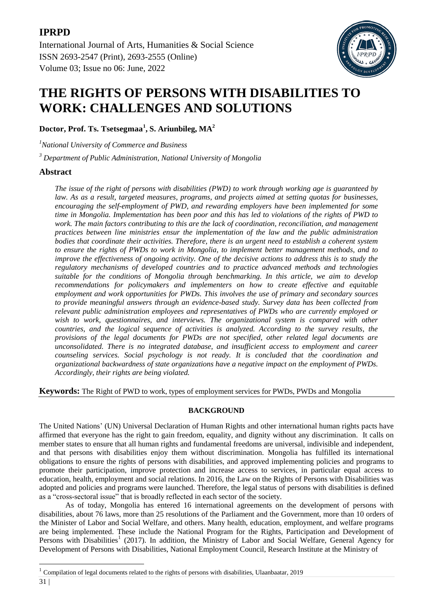[International Journal of Arts, Humanities & Social Science](https://ijahss.net/) ISSN 2693-2547 (Print), 2693-2555 (Online) Volume 03; Issue no 06: June, 2022



# **THE RIGHTS OF PERSONS WITH DISABILITIES TO WORK: CHALLENGES AND SOLUTIONS**

**Doctor, Prof. Ts. Tsetsegmaa<sup>1</sup> , S. Ariunbileg, MA<sup>2</sup>**

*<sup>1</sup>National University of Commerce and Business*

*<sup>3</sup> Department of Public Administration, National University of Mongolia*

# **Abstract**

*The issue of the right of persons with disabilities (PWD) to work through working age is guaranteed by law. As as a result, targeted measures, programs, and projects aimed at setting quotas for businesses, encouraging the self-employment of PWD, and rewarding employers have been implemented for some time in Mongolia. Implementation has been poor and this has led to violations of the rights of PWD to work. The main factors contributing to this are the lack of coordination, reconciliation, and management practices between line ministries ensur the implementation of the law and the public administration bodies that coordinate their activities. Therefore, there is an urgent need to establish a coherent system to ensure the rights of PWDs to work in Mongolia, to implement better management methods, and to improve the effectiveness of ongoing activity. One of the decisive actions to address this is to study the regulatory mechanisms of developed countries and to practice advanced methods and technologies suitable for the conditions of Mongolia through benchmarking. In this article, we aim to develop recommendations for policymakers and implementers on how to create effective and equitable employment and work opportunities for PWDs. This involves the use of primary and secondary sources to provide meaningful answers through an evidence-based study. Survey data has been collected from relevant public administration employees and representatives of PWDs who are currently employed or wish to work, questionnaires, and interviews. The organizational system is compared with other countries, and the logical sequence of activities is analyzed. According to the survey results, the provisions of the legal documents for PWDs are not specified, other related legal documents are unconsolidated. There is no integrated database, and insufficient access to employment and career counseling services. Social psychology is not ready. It is concluded that the coordination and organizational backwardness of state organizations have a negative impact on the employment of PWDs. Accordingly, their rights are being violated.*

**Keywords:** The Right of PWD to work, types of employment services for PWDs, PWDs and Mongolia

# **BACKGROUND**

The United Nations' (UN) Universal Declaration of Human Rights and other international human rights pacts have affirmed that everyone has the right to gain freedom, equality, and dignity without any discrimination. It calls on member states to ensure that all human rights and fundamental freedoms are universal, indivisible and independent, and that persons with disabilities enjoy them without discrimination. Mongolia has fulfilled its international obligations to ensure the rights of persons with disabilities, and approved implementing policies and programs to promote their participation, improve protection and increase access to services, in particular equal access to education, health, employment and social relations. In 2016, the Law on the Rights of Persons with Disabilities was adopted and policies and programs were launched. Therefore, the legal status of persons with disabilities is defined as a "cross-sectoral issue" that is broadly reflected in each sector of the society.

As of today, Mongolia has entered 16 international agreements on the development of persons with disabilities, about 76 laws, more than 25 resolutions of the Parliament and the Government, more than 10 orders of the Minister of Labor and Social Welfare, and others. Many health, education, employment, and welfare programs are being implemented. These include the National Program for the Rights, Participation and Development of Persons with Disabilities<sup>1</sup> (2017). In addition, the Ministry of Labor and Social Welfare, General Agency for Development of Persons with Disabilities, National Employment Council, Research Institute at the Ministry of

**.** 

<sup>&</sup>lt;sup>1</sup> Compilation of legal documents related to the rights of persons with disabilities, Ulaanbaatar, 2019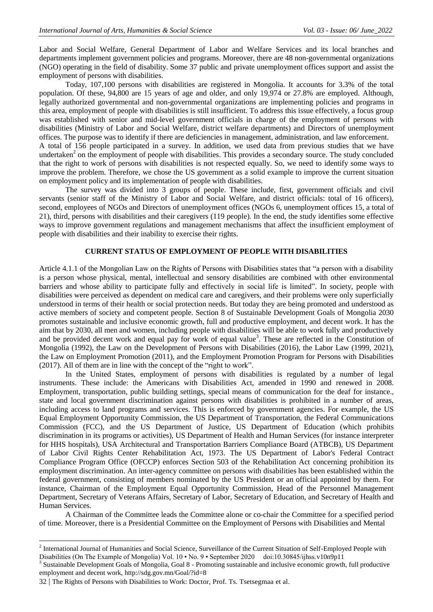on employment policy and its implementation of people with disabilities.

Labor and Social Welfare, General Department of Labor and Welfare Services and its local branches and departments implement government policies and programs. Moreover, there are 48 non-governmental organizations (NGO) operating in the field of disability. Some 37 public and private unemployment offices support and assist the employment of persons with disabilities.

Today, 107,100 persons with disabilities are registered in Mongolia. It accounts for 3.3% of the total population. Of these, 94,800 are 15 years of age and older, and only 19,974 or 27.8% are employed. Although, legally authorized governmental and non-governmental organizations are implementing policies and programs in this area, employment of people with disabilities is still insufficient. To address this issue effectively, a focus group was established with senior and mid-level government officials in charge of the employment of persons with disabilities (Ministry of Labor and Social Welfare, district welfare departments) and Directors of unemployment offices. The purpose was to identify if there are deficiencies in management, administration, and law enforcement. A total of 156 people participated in a survey. In addition, we used data from previous studies that we have undertaken<sup>2</sup> on the employment of people with disabilities. This provides a secondary source. The study concluded that the right to work of persons with disabilities is not respected equally. So, we need to identify some ways to improve the problem. Therefore, we chose the US government as a solid example to improve the current situation

The survey was divided into 3 groups of people. These include, first, government officials and civil servants (senior staff of the Ministry of Labor and Social Welfare, and district officials: total of 16 officers), second, employees of NGOs and Directors of unemployment offices (NGOs 6, unemployment offices 15, a total of 21), third, persons with disabilities and their caregivers (119 people). In the end, the study identifies some effective ways to improve government regulations and management mechanisms that affect the insufficient employment of people with disabilities and their inability to exercise their rights.

## **CURRENT STATUS OF EMPLOYMENT OF PEOPLE WITH DISABILITIES**

Article 4.1.1 of the Mongolian Law on the Rights of Persons with Disabilities states that "a person with a disability is a person whose physical, mental, intellectual and sensory disabilities are combined with other environmental barriers and whose ability to participate fully and effectively in social life is limited". In society, people with disabilities were perceived as dependent on medical care and caregivers, and their problems were only superficially understood in terms of their health or social protection needs. But today they are being promoted and understood as active members of society and competent people. Section 8 of Sustainable Development Goals of Mongolia 2030 promotes sustainable and inclusive economic growth, full and productive employment, and decent work. It has the aim that by 2030, all men and women, including people with disabilities will be able to work fully and productively and be provided decent work and equal pay for work of equal value<sup>3</sup>. These are reflected in the Constitution of Mongolia (1992), the Law on the Development of Persons with Disabilities (2016), the Labor Law (1999, 2021), the Law on Employment Promotion (2011), and the Employment Promotion Program for Persons with Disabilities (2017). All of them are in line with the concept of the "right to work".

In the United States, employment of persons with disabilities is regulated by a number of legal instruments. These include: the Americans with Disabilities Act, amended in 1990 and renewed in 2008. Employment, transportation, public building settings, special means of communication for the deaf for instance., state and local government discrimination against persons with disabilities is prohibited in a number of areas, including access to land programs and services. This is enforced by government agencies. For example, the US Equal Employment Opportunity Commission, the US Department of Transportation, the Federal Communications Commission (FCC), and the US Department of Justice, US Department of Education (which prohibits discrimination in its programs or activities), US Department of Health and Human Services (for instance interpreter for HHS hospitals), USA Architectural and Transportation Barriers Compliance Board (ATBCB), US Department of Labor Civil Rights Center Rehabilitation Act, 1973. The US Department of Labor's Federal Contract Compliance Program Office (OFCCP) enforces Section 503 of the Rehabilitation Act concerning prohibition its employment discrimination. An inter-agency committee on persons with disabilities has been established within the federal government, consisting of members nominated by the US President or an official appointed by them. For instance, Chairman of the Employment Equal Opportunity Commission, Head of the Personnel Management Department, Secretary of Veterans Affairs, Secretary of Labor, Secretary of Education, and Secretary of Health and Human Services.

A Chairman of the Committee leads the Committee alone or co-chair the Committee for a specified period of time. Moreover, there is a Presidential Committee on the Employment of Persons with Disabilities and Mental

**.** 

 $2$  International Journal of Humanities and Social Science, Surveillance of the Current Situation of Self-Employed People with Disabilities (On The Example of Mongolia) Vol. 10 • No. 9 • September 2020 doi:10.30845/ijhss.v10n9p11

<sup>&</sup>lt;sup>3</sup> Sustainable Development Goals of Mongolia, Goal 8 - Promoting sustainable and inclusive economic growth, full productive employment and decent work,<http://sdg.gov.mn/Goal/?id=8>

<sup>32</sup> | The Rights of Persons with Disabilities to Work: Doctor, Prof. Ts. Tsetsegmaa et al.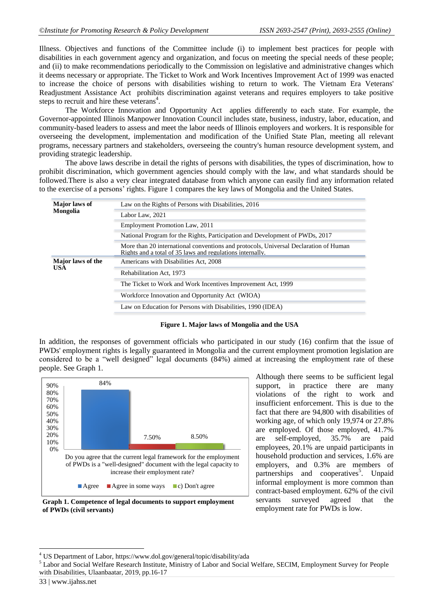Illness. Objectives and functions of the Committee include (i) to implement best practices for people with disabilities in each government agency and organization, and focus on meeting the special needs of these people; and (ii) to make recommendations periodically to the Commission on legislative and administrative changes which it deems necessary or appropriate. The Ticket to Work and Work Incentives Improvement Act of 1999 was enacted to increase the choice of persons with disabilities wishing to return to work. The Vietnam Era Veterans' Readjustment Assistance Act prohibits discrimination against veterans and requires employers to take positive steps to recruit and hire these veterans<sup>4</sup>.

The Workforce Innovation and Opportunity Act applies differently to each state. For example, the Governor-appointed Illinois Manpower Innovation Council includes state, business, industry, labor, education, and community-based leaders to assess and meet the labor needs of Illinois employers and workers. It is responsible for overseeing the development, implementation and modification of the Unified State Plan, meeting all relevant programs, necessary partners and stakeholders, overseeing the country's human resource development system, and providing strategic leadership.

The above laws describe in detail the rights of persons with disabilities, the types of discrimination, how to prohibit discrimination, which government agencies should comply with the law, and what standards should be followed.There is also a very clear integrated database from which anyone can easily find any information related to the exercise of a persons' rights. Figure 1 compares the key laws of Mongolia and the United States.

| <b>Major</b> laws of<br>Mongolia       | Law on the Rights of Persons with Disabilities, 2016                                                                                              |  |
|----------------------------------------|---------------------------------------------------------------------------------------------------------------------------------------------------|--|
|                                        | Labor Law, 2021                                                                                                                                   |  |
|                                        | Employment Promotion Law, 2011                                                                                                                    |  |
|                                        | National Program for the Rights, Participation and Development of PWDs, 2017                                                                      |  |
|                                        | More than 20 international conventions and protocols, Universal Declaration of Human<br>Rights and a total of 35 laws and regulations internally. |  |
| <b>Major</b> laws of the<br><b>USA</b> | Americans with Disabilities Act, 2008                                                                                                             |  |
|                                        | Rehabilitation Act, 1973                                                                                                                          |  |
|                                        | The Ticket to Work and Work Incentives Improvement Act, 1999                                                                                      |  |
|                                        | Workforce Innovation and Opportunity Act (WIOA)                                                                                                   |  |
|                                        | Law on Education for Persons with Disabilities, 1990 (IDEA)                                                                                       |  |
|                                        |                                                                                                                                                   |  |

#### **Figure 1. Major laws of Mongolia and the USA**

In addition, the responses of government officials who participated in our study (16) confirm that the issue of PWDs' employment rights is legally guaranteed in Mongolia and the current employment promotion legislation are considered to be a "well designed" legal documents (84%) aimed at increasing the employment rate of these people. See Graph 1.





Although there seems to be sufficient legal support, in practice there are many violations of the right to work and insufficient enforcement. This is due to the fact that there are 94,800 with disabilities of working age, of which only 19,974 or 27.8% are employed. Of those employed, 41.7% are self-employed, 35.7% are paid employees, 20.1% are unpaid participants in household production and services, 1.6% are employers, and 0.3% are members of partnerships and cooperatives<sup>5</sup>. Unpaid informal employment is more common than contract-based employment. 62% of the civil servants surveyed agreed that the employment rate for PWDs is low.

 $\overline{a}$ <sup>4</sup> US Department of Labor,<https://www.dol.gov/general/topic/disability/ada>

<sup>&</sup>lt;sup>5</sup> Labor and Social Welfare Research Institute, Ministry of Labor and Social Welfare, SECIM, Employment Survey for People with Disabilities, Ulaanbaatar, 2019, pp.16-17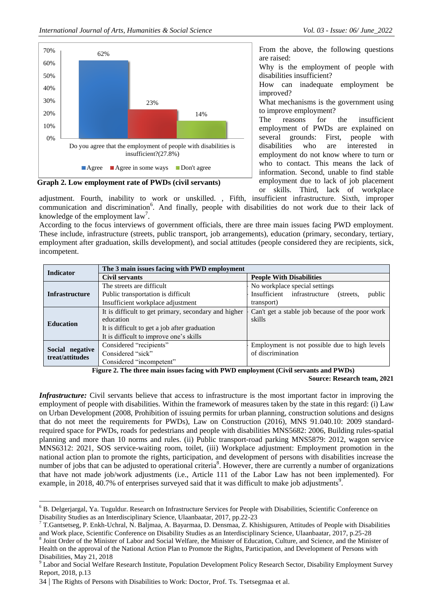

**Graph 2. Low employment rate of PWDs (civil servants)**

From the above, the following questions are raised:

Why is the employment of people with disabilities insufficient?

How can inadequate employment be improved?

What mechanisms is the government using to improve employment?

The reasons for the insufficient employment of PWDs are explained on several grounds: First, people with disabilities who are interested in employment do not know where to turn or who to contact. This means the lack of information. Second, unable to find stable employment due to lack of job placement or skills. Third, lack of workplace

adjustment. Fourth, inability to work or unskilled. , Fifth, insufficient infrastructure. Sixth, improper communication and discrimination<sup>6</sup>. And finally, people with disabilities do not work due to their lack of knowledge of the employment  $law<sup>7</sup>$ .

According to the focus interviews of government officials, there are three main issues facing PWD employment. These include, infrastructure (streets, public transport, job arrangements), education (primary, secondary, tertiary, employment after graduation, skills development), and social attitudes (people considered they are recipients, sick, incompetent.

| <b>Indicator</b>                   | The 3 main issues facing with PWD employment         |                                                     |  |
|------------------------------------|------------------------------------------------------|-----------------------------------------------------|--|
|                                    | Civil servants                                       | <b>People With Disabilities</b>                     |  |
| <b>Infrastructure</b>              | The streets are difficult                            | No workplace special settings                       |  |
|                                    | Public transportation is difficult                   | Insufficient infrastructure<br>public<br>(streets.) |  |
|                                    | Insufficient workplace adjustment                    | transport)                                          |  |
| <b>Education</b>                   | It is difficult to get primary, secondary and higher | Can't get a stable job because of the poor work     |  |
|                                    | education                                            | skills                                              |  |
|                                    | It is difficult to get a job after graduation        |                                                     |  |
|                                    | It is difficult to improve one's skills              |                                                     |  |
| Social negative<br>treat/attitudes | Considered "recipients"                              | Employment is not possible due to high levels       |  |
|                                    | Considered "sick"                                    | of discrimination                                   |  |
|                                    | Considered "incompetent"                             |                                                     |  |

 **Figure 2. The three main issues facing with PWD employment (Civil servants and PWDs)**

**Source: Research team, 2021**

*Infrastructure:* Civil servants believe that access to infrastructure is the most important factor in improving the employment of people with disabilities. Within the framework of measures taken by the state in this regard: (i) Law on Urban Development (2008, Prohibition of issuing permits for urban planning, construction solutions and designs that do not meet the requirements for PWDs), Law on Construction (2016), MNS 91.040.10: 2009 standardrequired space for PWDs, roads for pedestrians and people with disabilities MNS5682: 2006, Building rules-spatial planning and more than 10 norms and rules. (ii) Public transport-road parking MNS5879: 2012, wagon service MNS6312: 2021, SOS service-waiting room, toilet, (iii) Workplace adjustment: Employment promotion in the national action plan to promote the rights, participation, and development of persons with disabilities increase the number of jobs that can be adjusted to operational criteria<sup>8</sup>. However, there are currently a number of organizations that have not made job/work adjustments (i.e., Article 111 of the Labor Law has not been implemented). For example, in 2018, 40.7% of enterprises surveyed said that it was difficult to make job adjustments<sup>9</sup>.

1

<sup>6</sup> B. Delgerjargal, Ya. Tuguldur. Research on Infrastructure Services for People with Disabilities, Scientific Conference on Disability Studies as an Interdisciplinary Science, Ulaanbaatar, 2017, pp.22-23

 $7$  T.Gantsetseg, P. Enkh-Uchral, N. Baljmaa, A. Bayarmaa, D. Densmaa, Z. Khishigsuren, Attitudes of People with Disabilities and Work place, Scientific Conference on Disability Studies as an Interdisciplinary Science, Ulaanbaatar, 2017, p.25-28

<sup>&</sup>lt;sup>8</sup> Joint Order of the Minister of Labor and Social Welfare, the Minister of Education, Culture, and Science, and the Minister of Health on the approval of the National Action Plan to Promote the Rights, Participation, and Development of Persons with Disabilities, May 21, 2018

<sup>&</sup>lt;sup>9</sup> Labor and Social Welfare Research Institute, Population Development Policy Research Sector, Disability Employment Survey Report, 2018, p.13

<sup>34</sup> | The Rights of Persons with Disabilities to Work: Doctor, Prof. Ts. Tsetsegmaa et al.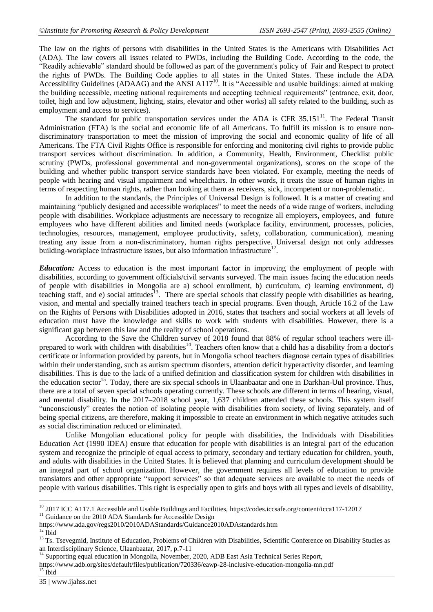The law on the rights of persons with disabilities in the United States is the Americans with Disabilities Act (ADA). The law covers all issues related to PWDs, including the Building Code. According to the code, the "Readily achievable" standard should be followed as part of the government's policy of Fair and Respect to protect the rights of PWDs. The Building Code applies to all states in the United States. These include the ADA Accessibility Guidelines (ADAAG) and the ANSI A117<sup>10</sup>. It is "Accessible and usable buildings: aimed at making the building accessible, meeting national requirements and accepting technical requirements" (entrance, exit, door, toilet, high and low adjustment, lighting, stairs, elevator and other works) all safety related to the building, such as employment and access to services).

The standard for public transportation services under the ADA is CFR  $35.151<sup>11</sup>$ . The Federal Transit Administration (FTA) is the social and economic life of all Americans. To fulfill its mission is to ensure nondiscriminatory transportation to meet the mission of improving the social and economic quality of life of all Americans. The FTA Civil Rights Office is responsible for enforcing and monitoring civil rights to provide public transport services without discrimination. In addition, a Community, Health, Environment, Checklist public scrutiny (PWDs, professional governmental and non-governmental organizations), scores on the scope of the building and whether public transport service standards have been violated. For example, meeting the needs of people with hearing and visual impairment and wheelchairs. In other words, it treats the issue of human rights in terms of respecting human rights, rather than looking at them as receivers, sick, incompetent or non-problematic.

In addition to the standards, the Principles of Universal Design is followed. It is a matter of creating and maintaining "publicly designed and accessible workplaces" to meet the needs of a wide range of workers, including people with disabilities. Workplace adjustments are necessary to recognize all employers, employees, and future employees who have different abilities and limited needs (workplace facility, environment, processes, policies, technologies, resources, management, employee productivity, safety, collaboration, communication), meaning treating any issue from a non-discriminatory, human rights perspective. Universal design not only addresses building-workplace infrastructure issues, but also information infrastructure<sup>12</sup>.

*Education:* Access to education is the most important factor in improving the employment of people with disabilities, according to government officials/civil servants surveyed. The main issues facing the education needs of people with disabilities in Mongolia are a) school enrollment, b) curriculum, c) learning environment, d) teaching staff, and e) social attitudes<sup>13</sup>. There are special schools that classify people with disabilities as hearing, vision, and mental and specially trained teachers teach in special programs. Even though, Article 16.2 of the Law on the Rights of Persons with Disabilities adopted in 2016, states that teachers and social workers at all levels of education must have the knowledge and skills to work with students with disabilities. However, there is a significant gap between this law and the reality of school operations.

According to the Save the Children survey of 2018 found that 88% of regular school teachers were illprepared to work with children with disabilities<sup>14</sup>. Teachers often know that a child has a disability from a doctor's certificate or information provided by parents, but in Mongolia school teachers diagnose certain types of disabilities within their understanding, such as autism spectrum disorders, attention deficit hyperactivity disorder, and learning disabilities. This is due to the lack of a unified definition and classification system for children with disabilities in the education sector<sup>15</sup>. Today, there are six special schools in Ulaanbaatar and one in Darkhan-Uul province. Thus, there are a total of seven special schools operating currently. These schools are different in terms of hearing, visual, and mental disability. In the 2017–2018 school year, 1,637 children attended these schools. This system itself "unconsciously" creates the notion of isolating people with disabilities from society, of living separately, and of being special citizens, are therefore, making it impossible to create an environment in which negative attitudes such as social discrimination reduced or eliminated.

Unlike Mongolian educational policy for people with disabilities, the Individuals with Disabilities Education Act (1990 IDEA) ensure that education for people with disabilities is an integral part of the education system and recognize the principle of equal access to primary, secondary and tertiary education for children, youth, and adults with disabilities in the United States. It is believed that planning and curriculum development should be an integral part of school organization. However, the government requires all levels of education to provide translators and other appropriate "support services" so that adequate services are available to meet the needs of people with various disabilities. This right is especially open to girls and boys with all types and levels of disability,

1

 $10\,2017$  ICC A117.1 Accessible and Usable Buildings and Facilities,<https://codes.iccsafe.org/content/icca117-12017>

 $11$  Guidance on the 2010 ADA Standards for Accessible Design

<https://www.ada.gov/regs2010/2010ADAStandards/Guidance2010ADAstandards.htm>  $12$  Ibid

<sup>&</sup>lt;sup>13</sup> Ts. Tsevegmid, Institute of Education, Problems of Children with Disabilities, Scientific Conference on Disability Studies as an Interdisciplinary Science, Ulaanbaatar, 2017, p.7-11

<sup>&</sup>lt;sup>14</sup> Supporting equal education in Mongolia, November, 2020, ADB East Asia Technical Series Report,

<https://www.adb.org/sites/default/files/publication/720336/eawp-28-inclusive-education-mongolia-mn.pdf>  $^{15}$ Ibid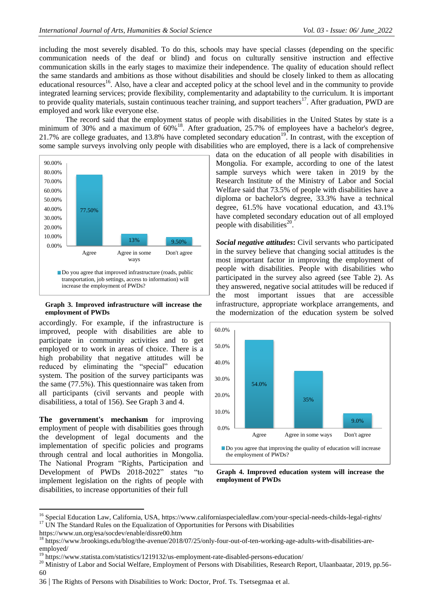including the most severely disabled. To do this, schools may have special classes (depending on the specific communication needs of the deaf or blind) and focus on culturally sensitive instruction and effective communication skills in the early stages to maximize their independence. The quality of education should reflect the same standards and ambitions as those without disabilities and should be closely linked to them as allocating educational resources<sup>16</sup>. Also, have a clear and accepted policy at the school level and in the community to provide integrated learning services; provide flexibility, complementarity and adaptability to the curriculum. It is important to provide quality materials, sustain continuous teacher training, and support teachers<sup>17</sup>. After graduation, PWD are employed and work like everyone else.

The record said that the employment status of people with disabilities in the United States by state is a minimum of 30% and a maximum of 60%<sup>18</sup>. After graduation, 25.7% of employees have a bachelor's degree, 21.7% are college graduates, and 13.8% have completed secondary education<sup>19</sup>. In contrast, with the exception of some sample surveys involving only people with disabilities who are employed, there is a lack of comprehensive



#### **Graph 3. Improved infrastructure will increase the employment of PWDs**

accordingly. For example, if the infrastructure is improved, people with disabilities are able to participate in community activities and to get employed or to work in areas of choice. There is a high probability that negative attitudes will be reduced by eliminating the "special" education system. The position of the survey participants was the same (77.5%). This questionnaire was taken from all participants (civil servants and people with disabilitiess, a total of 156). See Graph 3 and 4.

**The government's mechanism** for improving employment of people with disabilities goes through the development of legal documents and the implementation of specific policies and programs through central and local authorities in Mongolia. The National Program "Rights, Participation and Development of PWDs 2018-2022" states "to implement legislation on the rights of people with disabilities, to increase opportunities of their full

data on the education of all people with disabilities in Mongolia. For example, according to one of the latest sample surveys which were taken in 2019 by the Research Institute of the Ministry of Labor and Social Welfare said that 73.5% of people with disabilities have a diploma or bachelor's degree, 33.3% have a technical degree, 61.5% have vocational education, and 43.1% have completed secondary education out of all employed people with disabilities<sup>20</sup>.

*Social negative attitudes***:** Civil servants who participated in the survey believe that changing social attitudes is the most important factor in improving the employment of people with disabilities. People with disabilities who participated in the survey also agreed (see Table 2). As they answered, negative social attitudes will be reduced if the most important issues that are accessible infrastructure, appropriate workplace arrangements, and the modernization of the education system be solved



**Graph 4. Improved education system will increase the employment of PWDs**

 $\overline{a}$ 

<sup>&</sup>lt;sup>16</sup> Special Education Law, California, USA,<https://www.californiaspecialedlaw.com/your-special-needs-childs-legal-rights/>  $17$  UN The Standard Rules on the Equalization of Opportunities for Persons with Disabilities

<https://www.un.org/esa/socdev/enable/dissre00.htm>

<sup>18</sup> [https://www.brookings.edu/blog/the-avenue/2018/07/25/only-four-out-of-ten-working-age-adults-with-disabilities-are](https://www.brookings.edu/blog/the-avenue/2018/07/25/only-four-out-of-ten-working-age-adults-with-disabilities-are-employed/)[employed/](https://www.brookings.edu/blog/the-avenue/2018/07/25/only-four-out-of-ten-working-age-adults-with-disabilities-are-employed/)

<sup>&</sup>lt;sup>19</sup> <https://www.statista.com/statistics/1219132/us-employment-rate-disabled-persons-education/>

<sup>&</sup>lt;sup>20</sup> Ministry of Labor and Social Welfare, Employment of Persons with Disabilities, Research Report, Ulaanbaatar, 2019, pp.56-60

<sup>36</sup> | The Rights of Persons with Disabilities to Work: Doctor, Prof. Ts. Tsetsegmaa et al.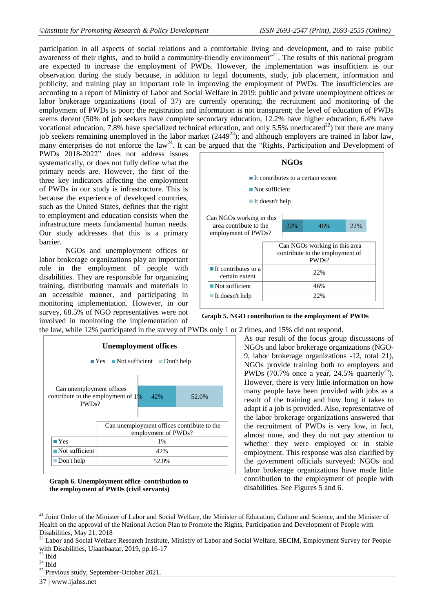participation in all aspects of social relations and a comfortable living and development, and to raise public awareness of their rights, and to build a community-friendly environment"<sup>21</sup>. The results of this national program are expected to increase the employment of PWDs. However, the implementation was insufficient as our observation during the study because, in addition to legal documents, study, job placement, information and publicity, and training play an important role in improving the employment of PWDs. The insufficiencies are according to a report of Ministry of Labor and Social Welfare in 2019: public and private unemployment offices or labor brokerage organizations (total of 37) are currently operating; the recruitment and monitoring of the employment of PWDs is poor; the registration and information is not transparent; the level of education of PWDs seems decent (50% of job seekers have complete secondary education, 12.2% have higher education, 6.4% have vocational education, 7.8% have specialized technical education, and only 5.5% uneducated<sup>22</sup>) but there are many job seekers remaining unemployed in the labor market  $(2449^{23})$ ; and although employers are trained in labor law, many enterprises do not enforce the law<sup>24</sup>. It can be argued that the "Rights, Participation and Development of

PWDs 2018-2022" does not address issues systematically, or does not fully define what the primary needs are. However, the first of the three key indicators affecting the employment of PWDs in our study is infrastructure. This is because the experience of developed countries, such as the United States, defines that the right to employment and education consists when the infrastructure meets fundamental human needs. Our study addresses that this is a primary barrier.

NGOs and unemployment offices or labor brokerage organizations play an important role in the employment of people with disabilities. They are responsible for organizing training, distributing manuals and materials in an accessible manner, and participating in monitoring implementation. However, in our survey, 68.5% of NGO representatives were not involved in monitoring the implementation of



**Graph 5. NGO contribution to the employment of PWDs** 

the law, while 12% participated in the survey of PWDs only 1 or 2 times, and 15% did not respond.



**Graph 6. Unemployment office contribution to the employment of PWDs (civil servants)**

As our result of the focus group discussions of NGOs and labor brokerage organizations (NGO-9, labor brokerage organizations -12, total 21), NGOs provide training both to employers and PWDs (70.7% once a year, 24.5% quarterly<sup>25</sup>). However, there is very little information on how many people have been provided with jobs as a result of the training and how long it takes to adapt if a job is provided. Also, representative of the labor brokerage organizations answered that the recruitment of PWDs is very low, in fact, almost none, and they do not pay attention to whether they were employed or in stable employment. This response was also clarified by the government officials surveyed: NGOs and labor brokerage organizations have made little contribution to the employment of people with disabilities. See Figures 5 and 6.

 $\overline{a}$ 

<sup>&</sup>lt;sup>21</sup> Joint Order of the Minister of Labor and Social Welfare, the Minister of Education, Culture and Science, and the Minister of Health on the approval of the National Action Plan to Promote the Rights, Participation and Development of People with Disabilities, May 21, 2018

<sup>22</sup> Labor and Social Welfare Research Institute, Ministry of Labor and Social Welfare, SECIM, Employment Survey for People with Disabilities, Ulaanbaatar, 2019, pp.16-17

 $23$  Ibid

 $24$  Ibid

<sup>&</sup>lt;sup>25</sup> Previous study, September-October 2021.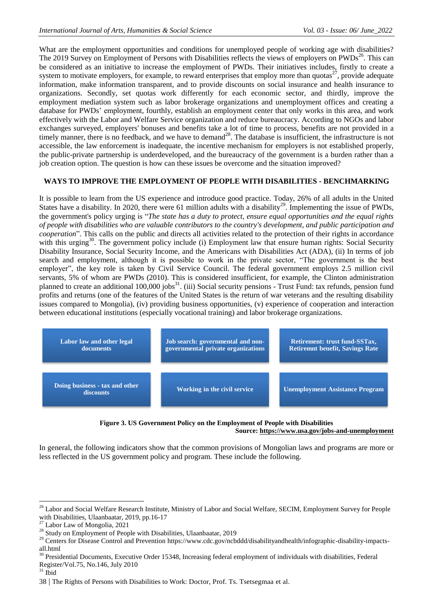What are the employment opportunities and conditions for unemployed people of working age with disabilities? The 2019 Survey on Employment of Persons with Disabilities reflects the views of employers on PWDs<sup>26</sup>. This can be considered as an initiative to increase the employment of PWDs. Their initiatives includes, firstly to create a system to motivate employers, for example, to reward enterprises that employ more than quotas $^{27}$ , provide adequate information, make information transparent, and to provide discounts on social insurance and health insurance to organizations. Secondly, set quotas work differently for each economic sector, and thirdly, improve the employment mediation system such as labor brokerage organizations and unemployment offices and creating a database for PWDs' employment, fourthly, establish an employment center that only works in this area, and work effectively with the Labor and Welfare Service organization and reduce bureaucracy. According to NGOs and labor exchanges surveyed, employers' bonuses and benefits take a lot of time to process, benefits are not provided in a timely manner, there is no feedback, and we have to demand<sup>28</sup>. The database is insufficient, the infrastructure is not accessible, the law enforcement is inadequate, the incentive mechanism for employers is not established properly, the public-private partnership is underdeveloped, and the bureaucracy of the government is a burden rather than a job creation option. The question is how can these issues be overcome and the situation improved?

## **WAYS TO IMPROVE THE EMPLOYMENT OF PEOPLE WITH DISABILITIES - BENCHMARKING**

It is possible to learn from the US experience and introduce good practice. Today, 26% of all adults in the United States have a disability. In 2020, there were 61 million adults with a disability<sup>29</sup>. Implementing the issue of PWDs, the government's policy urging is "*The state has a duty to protect, ensure equal opportunities and the equal rights of people with disabilities who are valuable contributors to the country's development, and public participation and cooperation*". This calls on the public and directs all activities related to the protection of their rights in accordance with this urging<sup>30</sup>. The government policy include (i) Employment law that ensure human rights: Social Security Disability Insurance, Social Security Income, and the Americans with Disabilities Act (ADA), (ii) In terms of job search and employment, although it is possible to work in the private sector, "The government is the best employer", the key role is taken by Civil Service Council. The federal government employs 2.5 million civil servants, 5% of whom are PWDs (2010). This is considered insufficient, for example, the Clinton administration planned to create an additional 100,000 jobs<sup>31</sup>. (iii) Social security pensions - Trust Fund: tax refunds, pension fund profits and returns (one of the features of the United States is the return of war veterans and the resulting disability issues compared to Mongolia), (iv) providing business opportunities, (v) experience of cooperation and interaction between educational institutions (especially vocational training) and labor brokerage organizations.



#### **Figure 3. US Government Policy on the Employment of People with Disabilities Source:<https://www.usa.gov/jobs-and-unemployment>**

In general, the following indicators show that the common provisions of Mongolian laws and programs are more or less reflected in the US government policy and program. These include the following.

<sup>29</sup> Centers for Disease Control and Prevention [https://www.cdc.gov/ncbddd/disabilityandhealth/infographic-disability-impacts](https://www.cdc.gov/ncbddd/disabilityandhealth/infographic-disability-impacts-all.html)all html

# $31$  Ibid

1

<sup>&</sup>lt;sup>26</sup> Labor and Social Welfare Research Institute, Ministry of Labor and Social Welfare, SECIM, Employment Survey for People with Disabilities, Ulaanbaatar, 2019, pp.16-17

<sup>27</sup> Labor Law of Mongolia, 2021

<sup>&</sup>lt;sup>28</sup> Study on Employment of People with Disabilities, Ulaanbaatar, 2019

<sup>&</sup>lt;sup>30</sup> Presidential Documents, Executive Order 15348, Increasing federal employment of individuals with disabilities, Federal Register/Vol.75, No.146, July 2010

<sup>38</sup> | The Rights of Persons with Disabilities to Work: Doctor, Prof. Ts. Tsetsegmaa et al.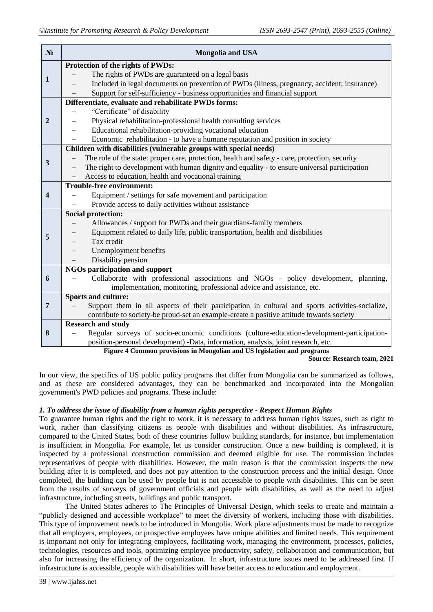| $N_2$                   | <b>Mongolia and USA</b>                                                                         |  |  |
|-------------------------|-------------------------------------------------------------------------------------------------|--|--|
| $\mathbf{1}$            | Protection of the rights of PWDs:                                                               |  |  |
|                         | The rights of PWDs are guaranteed on a legal basis                                              |  |  |
|                         | Included in legal documents on prevention of PWDs (illness, pregnancy, accident; insurance)     |  |  |
|                         | Support for self-sufficiency - business opportunities and financial support                     |  |  |
| $\overline{2}$          | Differentiate, evaluate and rehabilitate PWDs forms:                                            |  |  |
|                         | "Certificate" of disability                                                                     |  |  |
|                         | Physical rehabilitation-professional health consulting services                                 |  |  |
|                         | Educational rehabilitation-providing vocational education                                       |  |  |
|                         | Economic rehabilitation - to have a humane reputation and position in society                   |  |  |
|                         | Children with disabilities (vulnerable groups with special needs)                               |  |  |
| 3                       | The role of the state: proper care, protection, health and safety - care, protection, security  |  |  |
|                         | The right to development with human dignity and equality - to ensure universal participation    |  |  |
|                         | Access to education, health and vocational training                                             |  |  |
| $\overline{\mathbf{4}}$ | <b>Trouble-free environment:</b>                                                                |  |  |
|                         | Equipment / settings for safe movement and participation                                        |  |  |
|                         | Provide access to daily activities without assistance                                           |  |  |
| 5                       | <b>Social protection:</b>                                                                       |  |  |
|                         | Allowances / support for PWDs and their guardians-family members                                |  |  |
|                         | Equipment related to daily life, public transportation, health and disabilities                 |  |  |
|                         | Tax credit<br>$\overline{\phantom{0}}$                                                          |  |  |
|                         | Unemployment benefits<br>$\overline{\phantom{0}}$                                               |  |  |
|                         | Disability pension                                                                              |  |  |
|                         | NGOs participation and support                                                                  |  |  |
| 6                       | Collaborate with professional associations and NGOs - policy development, planning,             |  |  |
|                         | implementation, monitoring, professional advice and assistance, etc.                            |  |  |
| $\overline{7}$          | <b>Sports and culture:</b>                                                                      |  |  |
|                         | Support them in all aspects of their participation in cultural and sports activities-socialize, |  |  |
|                         | contribute to society-be proud-set an example-create a positive attitude towards society        |  |  |
|                         | <b>Research and study</b>                                                                       |  |  |
| 8                       | Regular surveys of socio-economic conditions (culture-education-development-participation-      |  |  |
|                         | position-personal development) -Data, information, analysis, joint research, etc.               |  |  |
|                         | Figure 4 Common provisions in Mongolian and US legislation and programs                         |  |  |

**Source: Research team, 2021**

In our view, the specifics of US public policy programs that differ from Mongolia can be summarized as follows, and as these are considered advantages, they can be benchmarked and incorporated into the Mongolian government's PWD policies and programs. These include:

## *1. To address the issue of disability from a human rights perspective - Respect Human Rights*

To guarantee human rights and the right to work, it is necessary to address human rights issues, such as right to work, rather than classifying citizens as people with disabilities and without disabilities. As infrastructure, compared to the United States, both of these countries follow building standards, for instance, but implementation is insufficient in Mongolia. For example, let us consider construction. Once a new building is completed, it is inspected by a professional construction commission and deemed eligible for use. The commission includes representatives of people with disabilities. However, the main reason is that the commission inspects the new building after it is completed, and does not pay attention to the construction process and the initial design. Once completed, the building can be used by people but is not accessible to people with disabilities. This can be seen from the results of surveys of government officials and people with disabilities, as well as the need to adjust infrastructure, including streets, buildings and public transport.

The United States adheres to The Principles of Universal Design, which seeks to create and maintain a "publicly designed and accessible workplace" to meet the diversity of workers, including those with disabilities. This type of improvement needs to be introduced in Mongolia. Work place adjustments must be made to recognize that all employers, employees, or prospective employees have unique abilities and limited needs. This requirement is important not only for integrating employees, facilitating work, managing the environment, processes, policies, technologies, resources and tools, optimizing employee productivity, safety, collaboration and communication, but also for increasing the efficiency of the organization. In short, infrastructure issues need to be addressed first. If infrastructure is accessible, people with disabilities will have better access to education and employment.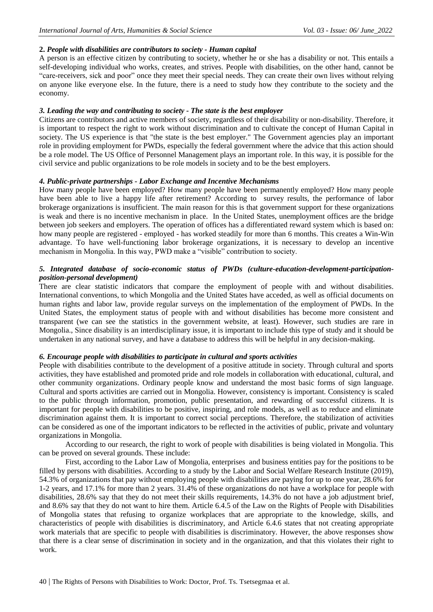## **2.** *People with disabilities are contributors to society - Human capital*

A person is an effective citizen by contributing to society, whether he or she has a disability or not. This entails a self-developing individual who works, creates, and strives. People with disabilities, on the other hand, cannot be "care-receivers, sick and poor" once they meet their special needs. They can create their own lives without relying on anyone like everyone else. In the future, there is a need to study how they contribute to the society and the economy.

## *3. Leading the way and contributing to society - The state is the best employer*

Citizens are contributors and active members of society, regardless of their disability or non-disability. Therefore, it is important to respect the right to work without discrimination and to cultivate the concept of Human Capital in society. The US experience is that "the state is the best employer." The Government agencies play an important role in providing employment for PWDs, especially the federal government where the advice that this action should be a role model. The US Office of Personnel Management plays an important role. In this way, it is possible for the civil service and public organizations to be role models in society and to be the best employers.

## *4. Public-private partnerships - Labor Exchange and Incentive Mechanisms*

How many people have been employed? How many people have been permanently employed? How many people have been able to live a happy life after retirement? According to survey results, the performance of labor brokerage organizations is insufficient. The main reason for this is that government support for these organizations is weak and there is no incentive mechanism in place. In the United States, unemployment offices are the bridge between job seekers and employers. The operation of offices has a differentiated reward system which is based on: how many people are registered - employed - has worked steadily for more than 6 months. This creates a Win-Win advantage. To have well-functioning labor brokerage organizations, it is necessary to develop an incentive mechanism in Mongolia. In this way, PWD make a "visible" contribution to society.

## *5. Integrated database of socio-economic status of PWDs (culture-education-development-participationposition-personal development)*

There are clear statistic indicators that compare the employment of people with and without disabilities. International conventions, to which Mongolia and the United States have acceded, as well as official documents on human rights and labor law, provide regular surveys on the implementation of the employment of PWDs. In the United States, the employment status of people with and without disabilities has become more consistent and transparent (we can see the statistics in the government website, at least). However, such studies are rare in Mongolia., Since disability is an interdisciplinary issue, it is important to include this type of study and it should be undertaken in any national survey, and have a database to address this will be helpful in any decision-making.

## *6. Encourage people with disabilities to participate in cultural and sports activities*

People with disabilities contribute to the development of a positive attitude in society. Through cultural and sports activities, they have established and promoted pride and role models in collaboration with educational, cultural, and other community organizations. Ordinary people know and understand the most basic forms of sign language. Cultural and sports activities are carried out in Mongolia. However, consistency is important. Consistency is scaled to the public through information, promotion, public presentation, and rewarding of successful citizens. It is important for people with disabilities to be positive, inspiring, and role models, as well as to reduce and eliminate discrimination against them. It is important to correct social perceptions. Therefore, the stabilization of activities can be considered as one of the important indicators to be reflected in the activities of public, private and voluntary organizations in Mongolia.

According to our research, the right to work of people with disabilities is being violated in Mongolia. This can be proved on several grounds. These include:

First, according to the Labor Law of Mongolia, enterprises and business entities pay for the positions to be filled by persons with disabilities. According to a study by the Labor and Social Welfare Research Institute (2019), 54.3% of organizations that pay without employing people with disabilities are paying for up to one year, 28.6% for 1-2 years, and 17.1% for more than 2 years. 31.4% of these organizations do not have a workplace for people with disabilities, 28.6% say that they do not meet their skills requirements, 14.3% do not have a job adjustment brief, and 8.6% say that they do not want to hire them. Article 6.4.5 of the Law on the Rights of People with Disabilities of Mongolia states that refusing to organize workplaces that are appropriate to the knowledge, skills, and characteristics of people with disabilities is discriminatory, and Article 6.4.6 states that not creating appropriate work materials that are specific to people with disabilities is discriminatory. However, the above responses show that there is a clear sense of discrimination in society and in the organization, and that this violates their right to work.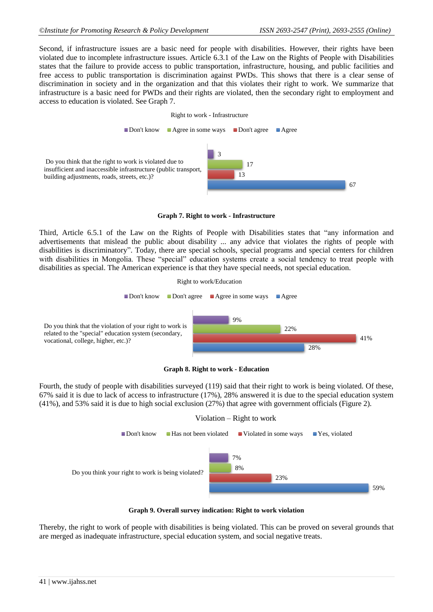Second, if infrastructure issues are a basic need for people with disabilities. However, their rights have been violated due to incomplete infrastructure issues. Article 6.3.1 of the Law on the Rights of People with Disabilities states that the failure to provide access to public transportation, infrastructure, housing, and public facilities and free access to public transportation is discrimination against PWDs. This shows that there is a clear sense of discrimination in society and in the organization and that this violates their right to work. We summarize that infrastructure is a basic need for PWDs and their rights are violated, then the secondary right to employment and access to education is violated. See Graph 7.







Third, Article 6.5.1 of the Law on the Rights of People with Disabilities states that "any information and advertisements that mislead the public about disability ... any advice that violates the rights of people with disabilities is discriminatory". Today, there are special schools, special programs and special centers for children with disabilities in Mongolia. These "special" education systems create a social tendency to treat people with disabilities as special. The American experience is that they have special needs, not special education.





**Graph 8. Right to work - Education**

Fourth, the study of people with disabilities surveyed (119) said that their right to work is being violated. Of these, 67% said it is due to lack of access to infrastructure (17%), 28% answered it is due to the special education system (41%), and 53% said it is due to high social exclusion (27%) that agree with government officials (Figure 2).



**Graph 9. Overall survey indication: Right to work violation**

Thereby, the right to work of people with disabilities is being violated. This can be proved on several grounds that are merged as inadequate infrastructure, special education system, and social negative treats.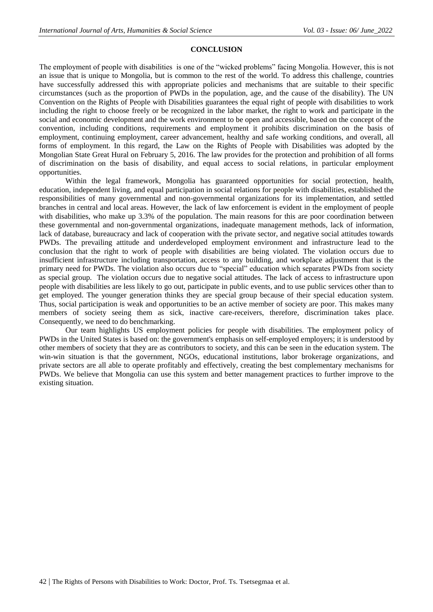## **CONCLUSION**

The employment of people with disabilities is one of the "wicked problems" facing Mongolia. However, this is not an issue that is unique to Mongolia, but is common to the rest of the world. To address this challenge, countries have successfully addressed this with appropriate policies and mechanisms that are suitable to their specific circumstances (such as the proportion of PWDs in the population, age, and the cause of the disability). The UN Convention on the Rights of People with Disabilities guarantees the equal right of people with disabilities to work including the right to choose freely or be recognized in the labor market, the right to work and participate in the social and economic development and the work environment to be open and accessible, based on the concept of the convention, including conditions, requirements and employment it prohibits discrimination on the basis of employment, continuing employment, career advancement, healthy and safe working conditions, and overall, all forms of employment. In this regard, the Law on the Rights of People with Disabilities was adopted by the Mongolian State Great Hural on February 5, 2016. The law provides for the protection and prohibition of all forms of discrimination on the basis of disability, and equal access to social relations, in particular employment opportunities.

Within the legal framework, Mongolia has guaranteed opportunities for social protection, health, education, independent living, and equal participation in social relations for people with disabilities, established the responsibilities of many governmental and non-governmental organizations for its implementation, and settled branches in central and local areas. However, the lack of law enforcement is evident in the employment of people with disabilities, who make up 3.3% of the population. The main reasons for this are poor coordination between these governmental and non-governmental organizations, inadequate management methods, lack of information, lack of database, bureaucracy and lack of cooperation with the private sector, and negative social attitudes towards PWDs. The prevailing attitude and underdeveloped employment environment and infrastructure lead to the conclusion that the right to work of people with disabilities are being violated. The violation occurs due to insufficient infrastructure including transportation, access to any building, and workplace adjustment that is the primary need for PWDs. The violation also occurs due to "special" education which separates PWDs from society as special group. The violation occurs due to negative social attitudes. The lack of access to infrastructure upon people with disabilities are less likely to go out, participate in public events, and to use public services other than to get employed. The younger generation thinks they are special group because of their special education system. Thus, social participation is weak and opportunities to be an active member of society are poor. This makes many members of society seeing them as sick, inactive care-receivers, therefore, discrimination takes place. Consequently, we need to do benchmarking.

Our team highlights US employment policies for people with disabilities. The employment policy of PWDs in the United States is based on: the government's emphasis on self-employed employers; it is understood by other members of society that they are as contributors to society, and this can be seen in the education system. The win-win situation is that the government, NGOs, educational institutions, labor brokerage organizations, and private sectors are all able to operate profitably and effectively, creating the best complementary mechanisms for PWDs. We believe that Mongolia can use this system and better management practices to further improve to the existing situation.